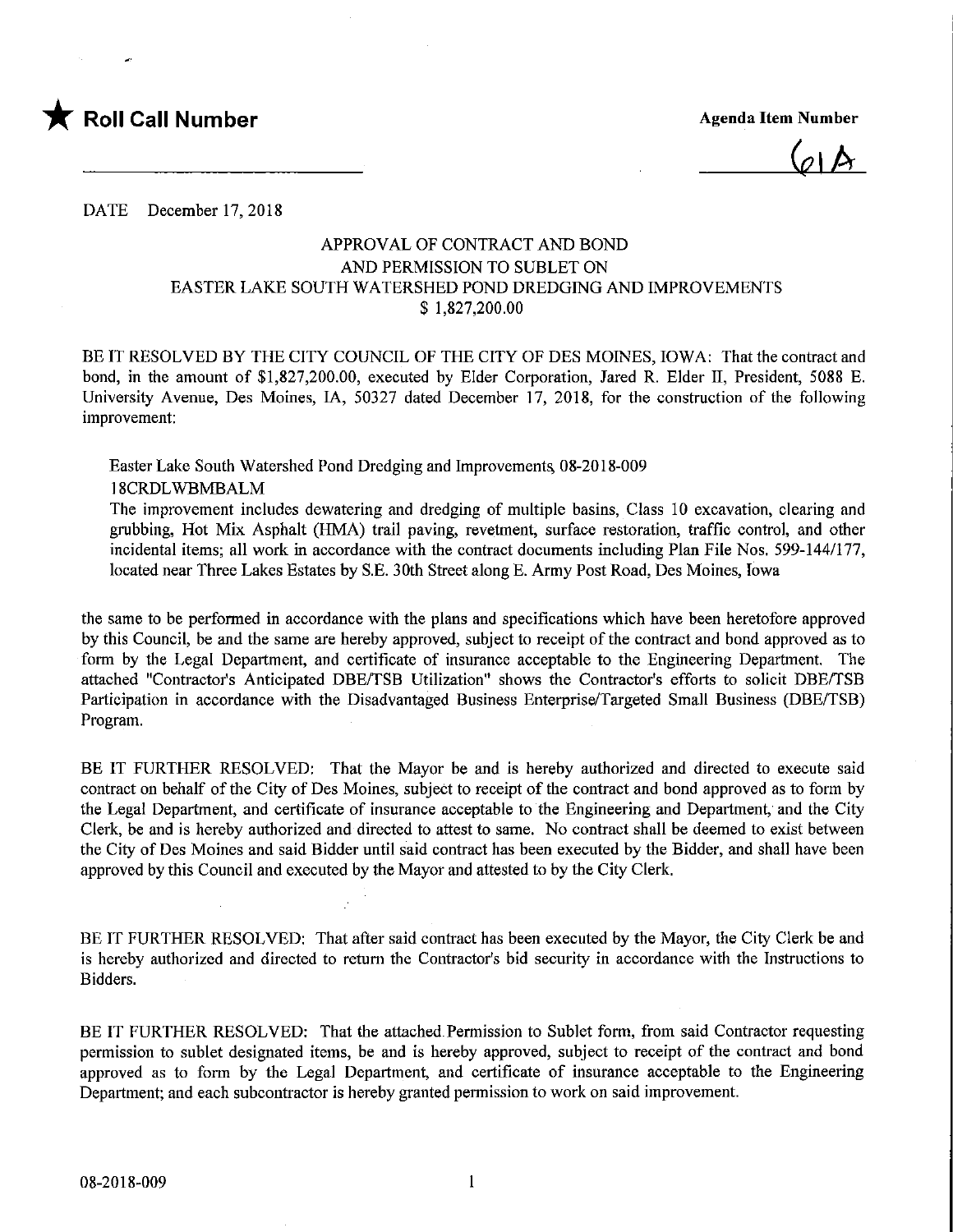

 $(a)$ 

DATE December 17, 2018

## APPROVAL OF CONTRACT AND BOND AND PERMISSION TO SUBLET ON EASTER LAKE SOUTH WATERSHED POND DREDGING AND IMPROVEMENTS \$ 1,827,200.00

BE IT RESOLVED BY THE CITY COUNCIL OF THE CITY OF DES MOINES, IOWA: That the contract and bond, in the amount of \$1,827,200.00, executed by Elder Corporation, Jared R. Elder II, President, 5088 E. University Avenue, Des Moines, IA, 50327 dated December 17, 2018, for the construction of the following improvement:

Easter Lake South Watershed Pond Dredging and Improvement^ 08-2018-009 18CRDLWBMBALM

The improvement includes dewatering and dredging of multiple basins. Class 10 excavation, clearing and grubbing. Hot Mix Asphalt (HMA) trail paving, revetment, surface restoration, traffic control, and other incidental items; all work in accordance with the contract documents including Plan File Nos. 599-144/177, located near Three Lakes Estates by S.E. 30th Street along E. Army Post Road, Des Moines, Iowa

the same to be performed in accordance with the plans and specifications which have been heretofore approved by this Council, be and the same are hereby approved, subject to receipt of the contract and bond approved as to form by the Legal Department, and certificate of insurance acceptable to the Engineering Department. The attached "Contractor's Anticipated DBE/TSB Utilization" shows the Contractor's efforts to solicit DBE/TSB Participation in accordance with the Disadvantaged Business Enterprise/Targeted Small Business (DBE/TSB) Program.

BE IT FURTHER RESOLVED; That the Mayor be and is hereby authorized and directed to execute said contract on behalf of the City of Des Moines, subject to receipt of the contract and bond approved as to form by the Legal Department, and certificate of insurance acceptable to the Engineering and Department, and the City Clerk, be and is hereby authorized and directed to attest to same. No contract shall be deemed to exist between the City of Des Moines and said Bidder until said contract has been executed by the Bidder, and shall have been approved by this Council and executed by the Mayor and attested to by the City Clerk.

BE IT FURTHER RESOLVED: That after said contract has been executed by the Mayor, the City Clerk be and is hereby authorized and directed to return the Contractor's bid security in accordance with the Instructions to Bidders.

BE IT FURTHER RESOLVED: That the attached Permission to Sublet form, from said Contractor requesting permission to sublet designated items, be and is hereby approved, subject to receipt of the contract and bond approved as to form by the Legal Department, and certificate of insurance acceptable to the Engineering Department; and each subcontractor is hereby granted permission to work on said improvement.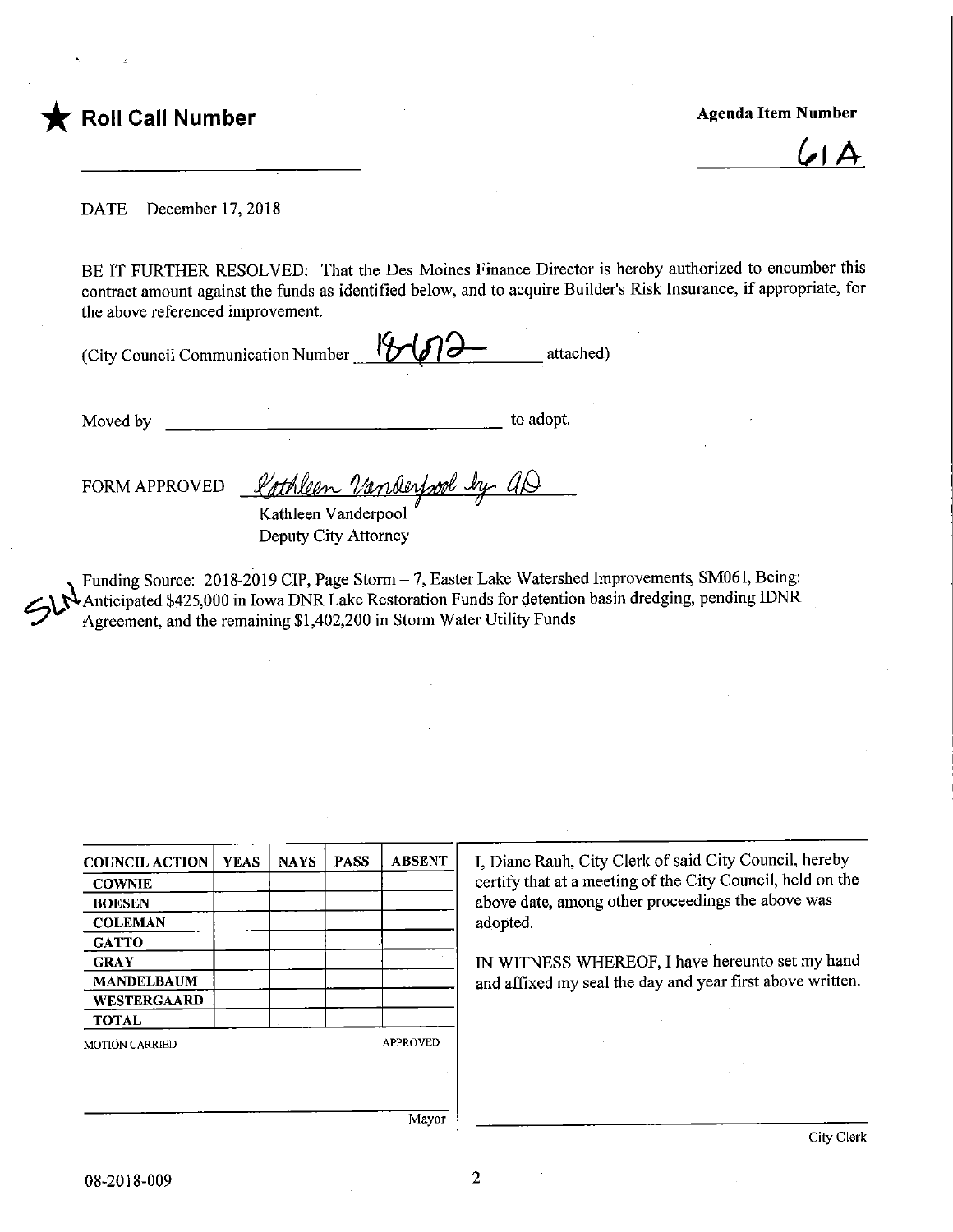

6.1A

DATE December 17, 2018

BE IT FURTHER RESOLVED: That the Des Moines Finance Director is hereby authorized to encumber this contract amount against the funds as identified below, and to acquire Builder's Risk Insurance, if appropriate, for the above referenced improvement.

(City Council Communication Number  $1^9$  $1^{\frac{1}{2^2}}$  attached)

Moved by to adopt.

FORM APPROVED *& othleen Vanderfool* Kathleen Vanderpool

Deputy City Attorney

 $Std$ Funding Source: 2018-2019 CIP, Page Storm - 7, Easter Lake Watershed Improvements, SM061, Being: Anticipated \$425,000 in Iowa DNR Lake Restoration Funds for detention basin dredging, pending IDNR Agreement, and the remaining \$1,402,200 in Storm Water Utility Funds

| <b>COUNCIL ACTION</b> | <b>YEAS</b> | <b>NAYS</b> | <b>PASS</b> | <b>ABSENT</b>   |
|-----------------------|-------------|-------------|-------------|-----------------|
| <b>COWNIE</b>         |             |             |             |                 |
| <b>BOESEN</b>         |             |             |             |                 |
| <b>COLEMAN</b>        |             |             |             |                 |
| <b>GATTO</b>          |             |             |             |                 |
| <b>GRAY</b>           |             |             |             |                 |
| <b>MANDELBAUM</b>     |             |             |             |                 |
| WESTERGAARD           |             |             |             |                 |
| <b>TOTAL</b>          |             |             |             |                 |
| <b>MOTION CARRIED</b> |             |             |             | <b>APPROVED</b> |
|                       |             |             |             |                 |
|                       |             |             |             |                 |
|                       |             |             |             |                 |
|                       |             |             |             | Mavor           |

I, Diane Rauh, City Clerk of said City Council, hereby certify that at a meeting of the City Council, held on the above date, among other proceedings the above was adopted.

IN WITNESS WHEREOF, I have hereunto set my hand and affixed my seal the day and year first above written.

Mayor

 $\overline{2}$